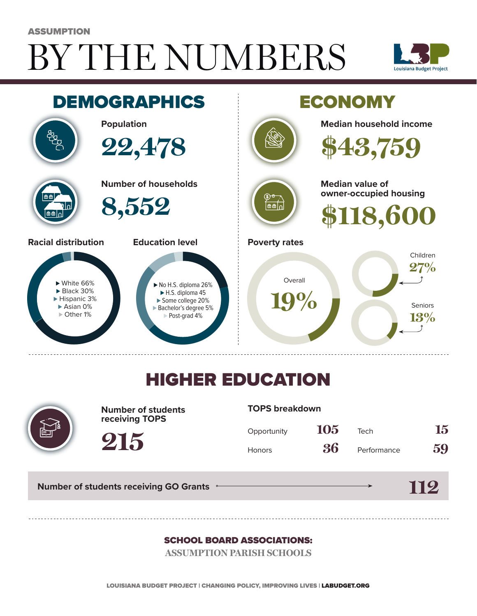# BY THE NUMBERS ASSUMPTION





## HIGHER EDUCATION



**Number of students receiving TOPS**

#### **TOPS breakdown**

| Opportunity   | 105 | Tech        | 15 |
|---------------|-----|-------------|----|
| <b>Honors</b> | 36  | Performance | 59 |

**Number of students receiving GO Grants**

**215**

### **112**

### SCHOOL BOARD ASSOCIATIONS:

**ASSUMPTION PARISH SCHOOLS**